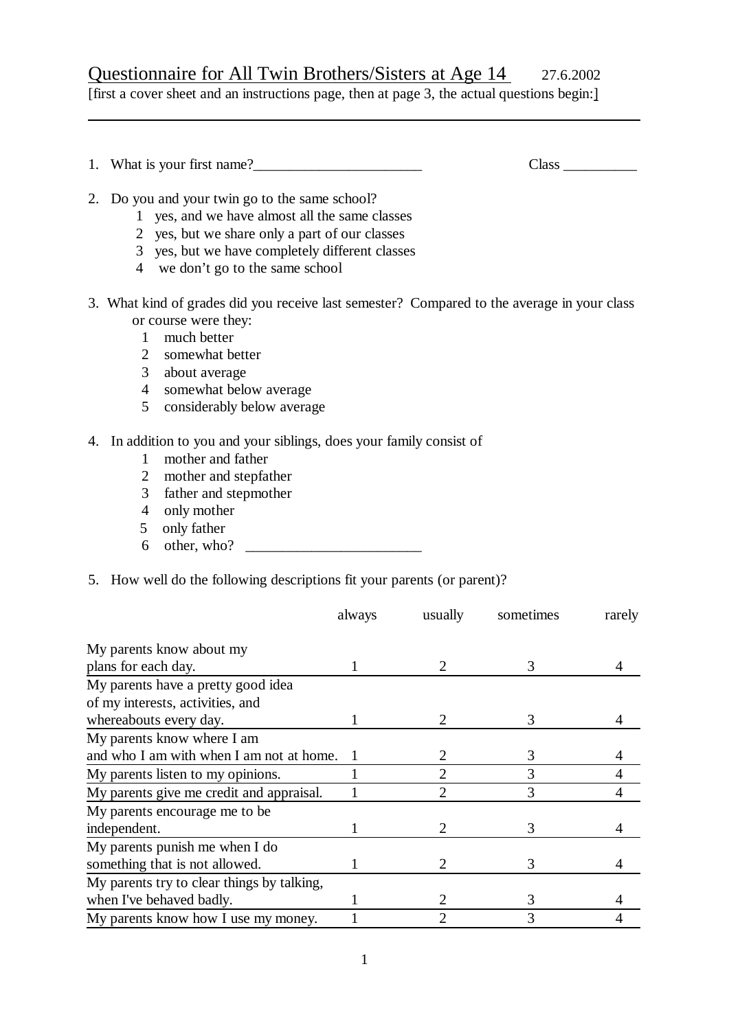# Questionnaire for All Twin Brothers/Sisters at Age 14 27.6.2002

[first a cover sheet and an instructions page, then at page 3, the actual questions begin:]

|    | Class                                                                                                                                                                                                                                                                                                      |  |
|----|------------------------------------------------------------------------------------------------------------------------------------------------------------------------------------------------------------------------------------------------------------------------------------------------------------|--|
|    | 2. Do you and your twin go to the same school?<br>1 yes, and we have almost all the same classes<br>2 yes, but we share only a part of our classes<br>3 yes, but we have completely different classes<br>4 we don't go to the same school                                                                  |  |
|    | 3. What kind of grades did you receive last semester? Compared to the average in your class<br>or course were they:<br>much better<br>$\mathbf{1}$<br>somewhat better<br>2<br>$\mathfrak{Z}$<br>about average<br>somewhat below average<br>$\overline{4}$<br>$5\overline{)}$<br>considerably below average |  |
| 4. | In addition to you and your siblings, does your family consist of<br>mother and father<br>$\mathbf{1}$<br>mother and stepfather<br>2<br>father and stepmother<br>3<br>only mother<br>4<br>only father<br>5<br>6                                                                                            |  |
|    | 5. How well do the following descriptions fit your parents (or parent)?                                                                                                                                                                                                                                    |  |

|                                            | always | usually | sometimes | rarely |
|--------------------------------------------|--------|---------|-----------|--------|
| My parents know about my                   |        |         |           |        |
| plans for each day.                        |        |         |           |        |
| My parents have a pretty good idea         |        |         |           |        |
| of my interests, activities, and           |        |         |           |        |
| whereabouts every day.                     |        |         | 3         |        |
| My parents know where I am                 |        |         |           |        |
| and who I am with when I am not at home.   | 1      | 2       | 3         |        |
| My parents listen to my opinions.          |        | 2       | 3         |        |
| My parents give me credit and appraisal.   |        | 2       | 3         |        |
| My parents encourage me to be              |        |         |           |        |
| independent.                               |        |         | 3         |        |
| My parents punish me when I do             |        |         |           |        |
| something that is not allowed.             |        | 2       |           |        |
| My parents try to clear things by talking, |        |         |           |        |
| when I've behaved badly.                   |        |         | 3         |        |
| My parents know how I use my money.        |        | 2       | 3         |        |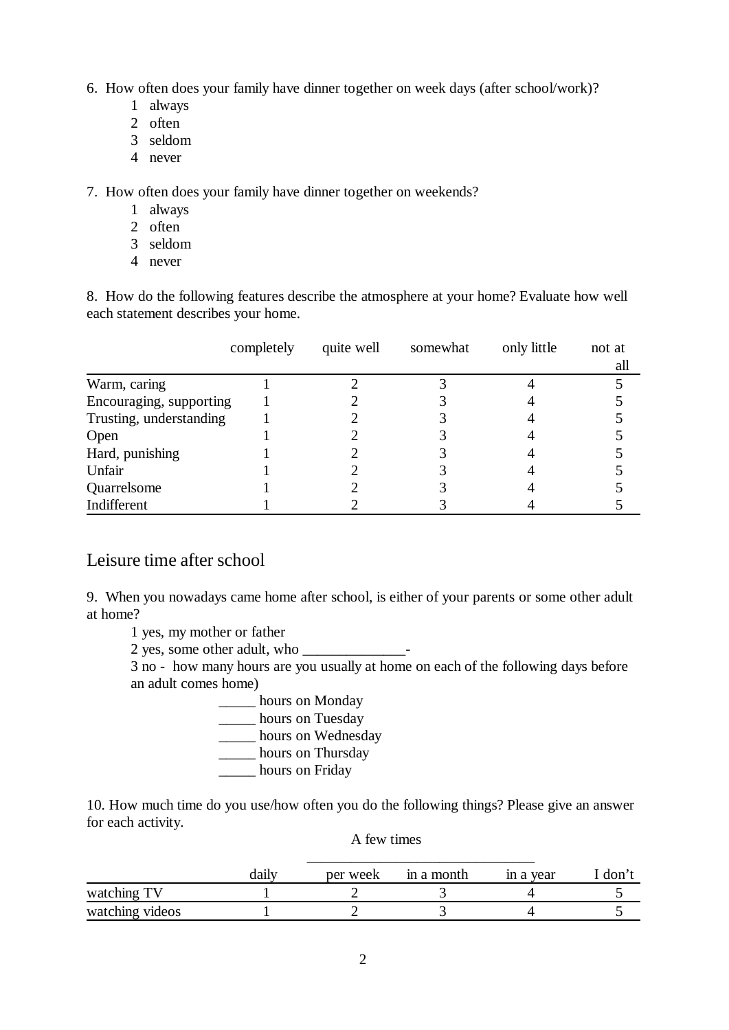6. How often does your family have dinner together on week days (after school/work)?

- 1 always
- 2 often
- 3 seldom
- 4 never

7. How often does your family have dinner together on weekends?

- 1 always
- 2 often
- 3 seldom
- 4 never

8. How do the following features describe the atmosphere at your home? Evaluate how well each statement describes your home.

|                         | completely | quite well | somewhat | only little | not at |
|-------------------------|------------|------------|----------|-------------|--------|
|                         |            |            |          |             | all    |
| Warm, caring            |            |            |          |             |        |
| Encouraging, supporting |            |            |          |             |        |
| Trusting, understanding |            |            |          |             |        |
| Open                    |            |            |          |             |        |
| Hard, punishing         |            |            |          |             |        |
| Unfair                  |            |            |          |             |        |
| Quarrelsome             |            |            |          |             |        |
| Indifferent             |            |            |          |             |        |

### Leisure time after school

9. When you nowadays came home after school, is either of your parents or some other adult at home?

1 yes, my mother or father

2 yes, some other adult, who —

3 no - how many hours are you usually at home on each of the following days before an adult comes home)

- \_\_\_\_\_ hours on Monday
- \_\_\_\_\_ hours on Tuesday
- \_\_\_\_\_ hours on Wednesday
- \_\_\_\_\_ hours on Thursday
- \_\_\_\_\_ hours on Friday

10. How much time do you use/how often you do the following things? Please give an answer for each activity.

#### A few times

|                 | daily | per week | in a month | in a year | [ don't |
|-----------------|-------|----------|------------|-----------|---------|
| watching TV     |       |          |            |           |         |
| watching videos |       |          |            |           |         |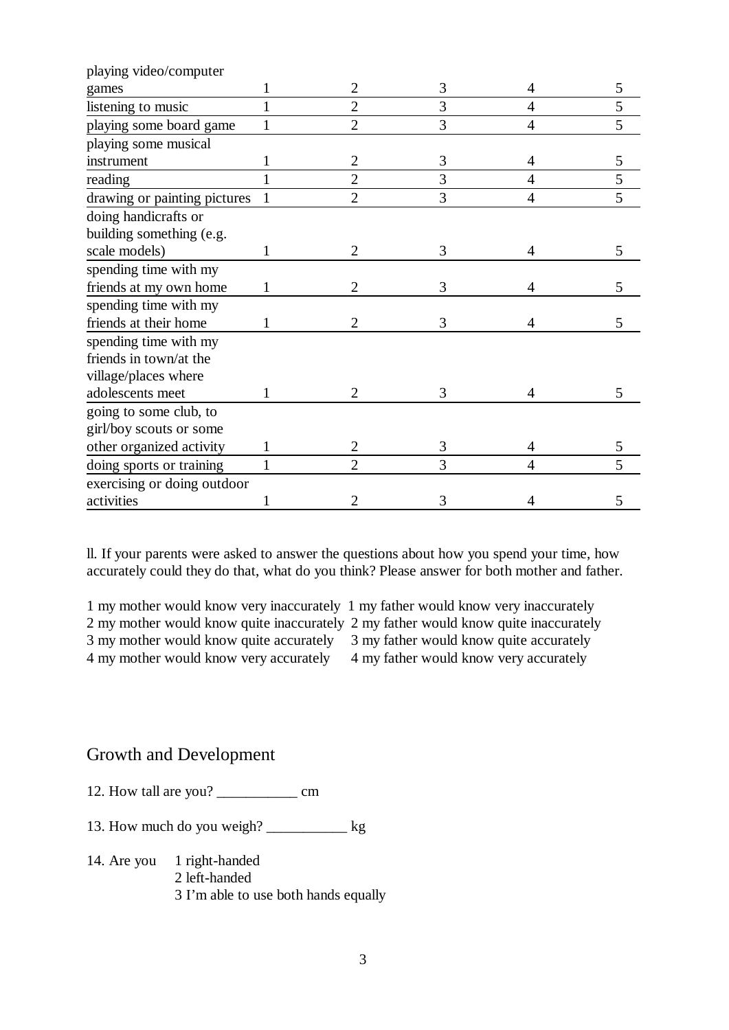| playing video/computer       |              |                |   |                |   |
|------------------------------|--------------|----------------|---|----------------|---|
| games                        |              | 2              | 3 | 4              | 5 |
| listening to music           | 1            | $\overline{2}$ | 3 | 4              | 5 |
| playing some board game      | 1            | $\overline{2}$ | 3 | $\overline{4}$ | 5 |
| playing some musical         |              |                |   |                |   |
| instrument                   |              | 2              | 3 | 4              | 5 |
| reading                      |              | $\overline{2}$ | 3 | $\overline{4}$ | 5 |
| drawing or painting pictures | $\mathbf{1}$ | $\overline{2}$ | 3 | $\overline{4}$ | 5 |
| doing handicrafts or         |              |                |   |                |   |
| building something (e.g.     |              |                |   |                |   |
| scale models)                |              | 2              | 3 | 4              | 5 |
| spending time with my        |              |                |   |                |   |
| friends at my own home       |              | 2              | 3 | 4              | 5 |
| spending time with my        |              |                |   |                |   |
| friends at their home        |              | 2              | 3 | 4              | 5 |
| spending time with my        |              |                |   |                |   |
| friends in town/at the       |              |                |   |                |   |
| village/places where         |              |                |   |                |   |
| adolescents meet             |              | 2              | 3 | 4              | 5 |
| going to some club, to       |              |                |   |                |   |
| girl/boy scouts or some      |              |                |   |                |   |
| other organized activity     | 1            | $\overline{2}$ | 3 | 4              | 5 |
| doing sports or training     |              | $\overline{2}$ | 3 | $\overline{4}$ |   |
| exercising or doing outdoor  |              |                |   |                |   |
| activities                   |              | 2              | 3 | 4              | 5 |

ll. If your parents were asked to answer the questions about how you spend your time, how accurately could they do that, what do you think? Please answer for both mother and father.

1 my mother would know very inaccurately 1 my father would know very inaccurately 2 my mother would know quite inaccurately 2 my father would know quite inaccurately 3 my mother would know quite accurately 3 my father would know quite accurately 4 my mother would know very accurately 4 my father would know very accurately

#### Growth and Development

12. How tall are you? \_\_\_\_\_\_\_\_\_\_\_ cm

13. How much do you weigh? \_\_\_\_\_\_\_\_\_\_\_ kg

14. Are you 1 right-handed 2 left-handed 3 I'm able to use both hands equally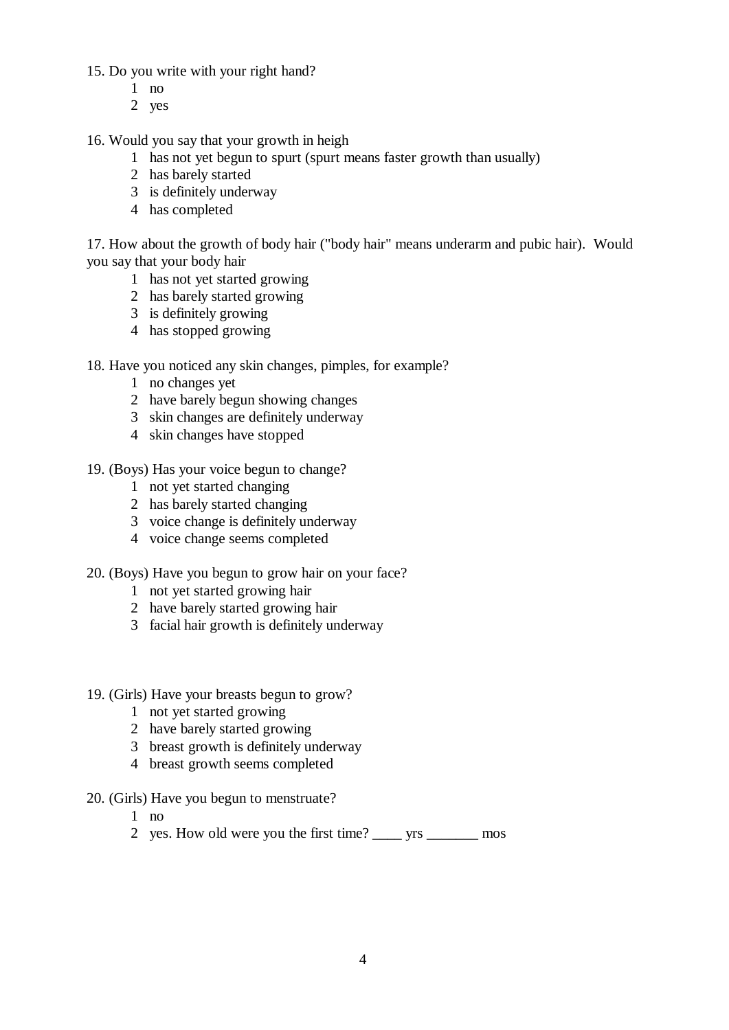15. Do you write with your right hand?

- 1 no
- 2 yes

16. Would you say that your growth in heigh

- 1 has not yet begun to spurt (spurt means faster growth than usually)
- 2 has barely started
- 3 is definitely underway
- 4 has completed

17. How about the growth of body hair ("body hair" means underarm and pubic hair). Would you say that your body hair

- 1 has not yet started growing
- 2 has barely started growing
- 3 is definitely growing
- 4 has stopped growing
- 18. Have you noticed any skin changes, pimples, for example?
	- 1 no changes yet
	- 2 have barely begun showing changes
	- 3 skin changes are definitely underway
	- 4 skin changes have stopped
- 19. (Boys) Has your voice begun to change?
	- 1 not yet started changing
	- 2 has barely started changing
	- 3 voice change is definitely underway
	- 4 voice change seems completed
- 20. (Boys) Have you begun to grow hair on your face?
	- 1 not yet started growing hair
	- 2 have barely started growing hair
	- 3 facial hair growth is definitely underway
- 19. (Girls) Have your breasts begun to grow?
	- 1 not yet started growing
	- 2 have barely started growing
	- 3 breast growth is definitely underway
	- 4 breast growth seems completed
- 20. (Girls) Have you begun to menstruate?
	- 1 no
	- 2 yes. How old were you the first time? \_\_\_\_ yrs \_\_\_\_\_\_\_ mos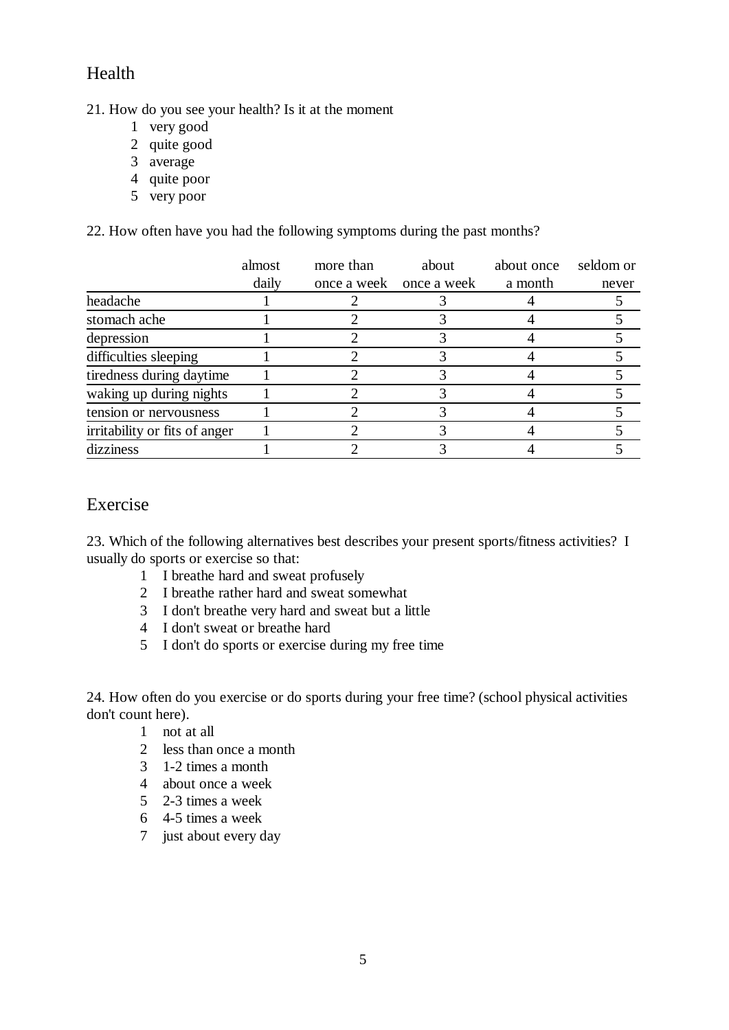## Health

21. How do you see your health? Is it at the moment

- 1 very good
- 2 quite good
- 3 average
- 4 quite poor
- 5 very poor

22. How often have you had the following symptoms during the past months?

|                               | almost | more than | about                   | about once | seldom or |
|-------------------------------|--------|-----------|-------------------------|------------|-----------|
|                               | daily  |           | once a week once a week | a month    | never     |
| headache                      |        |           |                         |            |           |
| stomach ache                  |        |           |                         |            |           |
| depression                    |        |           |                         |            |           |
| difficulties sleeping         |        |           |                         |            |           |
| tiredness during daytime      |        |           |                         |            |           |
| waking up during nights       |        |           |                         |            |           |
| tension or nervousness        |        |           |                         |            |           |
| irritability or fits of anger |        |           |                         |            |           |
| dizziness                     |        |           |                         |            |           |

#### Exercise

23. Which of the following alternatives best describes your present sports/fitness activities? I usually do sports or exercise so that:

- 1 I breathe hard and sweat profusely
- 2 I breathe rather hard and sweat somewhat
- 3 I don't breathe very hard and sweat but a little
- 4 I don't sweat or breathe hard
- 5 I don't do sports or exercise during my free time

24. How often do you exercise or do sports during your free time? (school physical activities don't count here).

- 1 not at all
- 2 less than once a month
- 3 1-2 times a month
- 4 about once a week
- 5 2-3 times a week
- 6 4-5 times a week
- 7 just about every day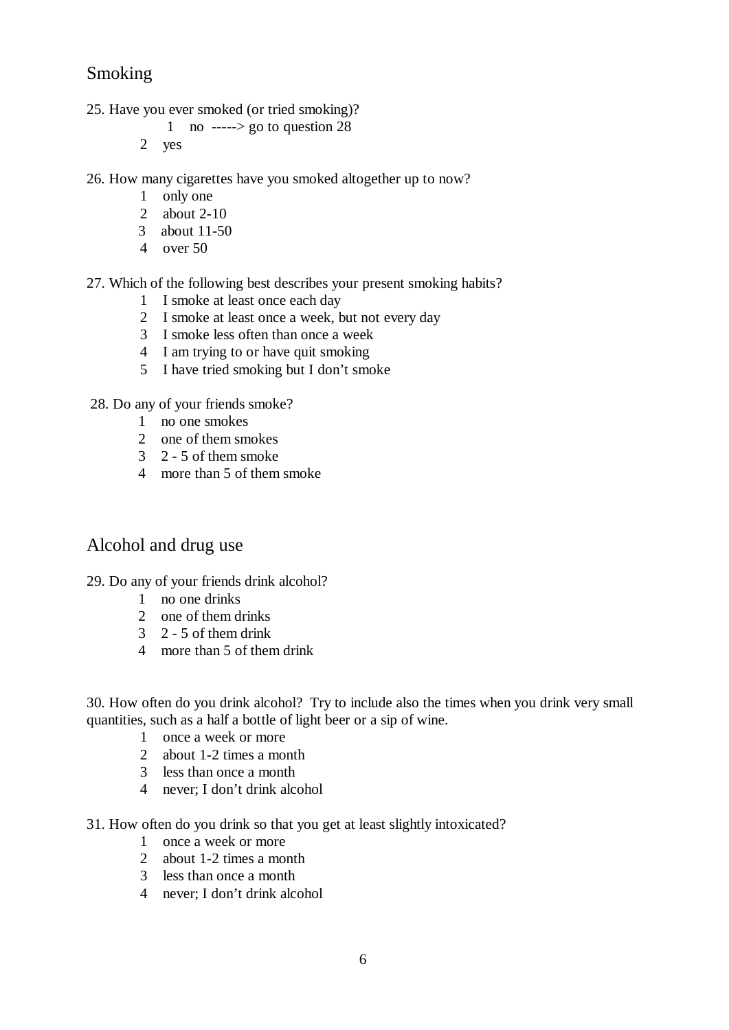### Smoking

- 25. Have you ever smoked (or tried smoking)?
	- 1 no -----> go to question  $28$
	- 2 yes
- 26. How many cigarettes have you smoked altogether up to now?
	- 1 only one
	- 2 about 2-10
	- 3 about 11-50
	- 4 over 50
- 27. Which of the following best describes your present smoking habits?
	- 1 I smoke at least once each day
	- 2 I smoke at least once a week, but not every day
	- 3 I smoke less often than once a week
	- 4 I am trying to or have quit smoking
	- 5 I have tried smoking but I don't smoke
- 28. Do any of your friends smoke?
	- 1 no one smokes
	- 2 one of them smokes
	- 3 2 5 of them smoke
	- 4 more than 5 of them smoke

### Alcohol and drug use

- 29. Do any of your friends drink alcohol?
	- 1 no one drinks
	- 2 one of them drinks
	- 3 2 5 of them drink
	- 4 more than 5 of them drink

30. How often do you drink alcohol? Try to include also the times when you drink very small quantities, such as a half a bottle of light beer or a sip of wine.

- 1 once a week or more
- 2 about 1-2 times a month
- 3 less than once a month
- 4 never; I don't drink alcohol
- 31. How often do you drink so that you get at least slightly intoxicated?
	- 1 once a week or more
	- 2 about 1-2 times a month
	- 3 less than once a month
	- 4 never; I don't drink alcohol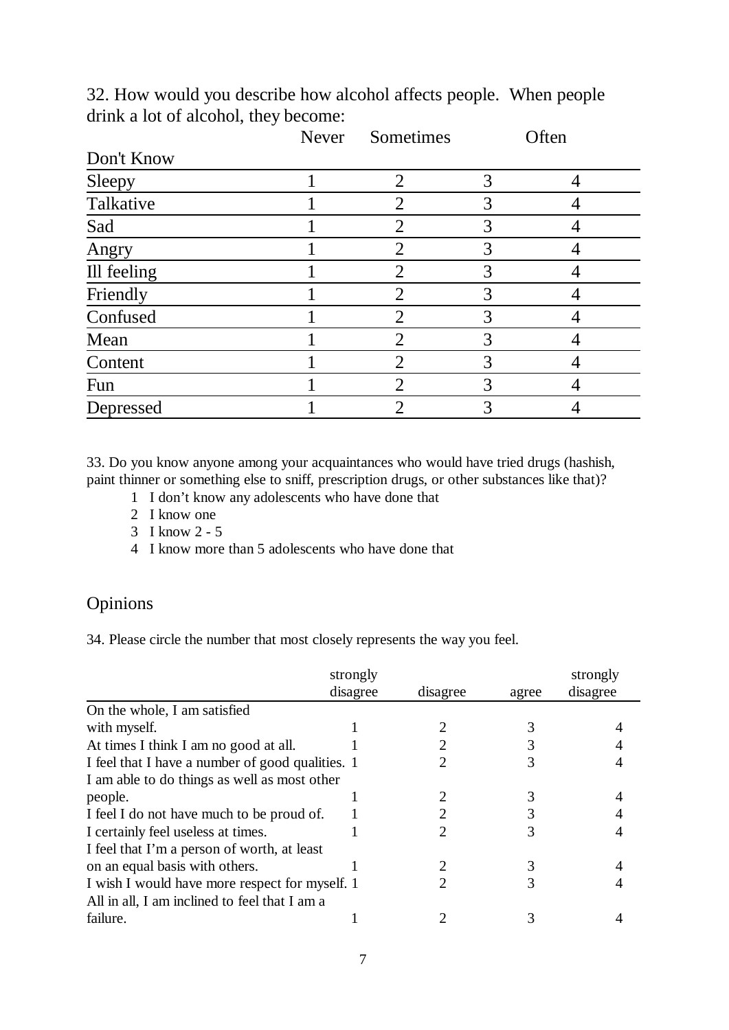|             | Never | Sometimes                   |   | Often |
|-------------|-------|-----------------------------|---|-------|
| Don't Know  |       |                             |   |       |
| Sleepy      |       | $\overline{2}$              |   |       |
| Talkative   |       | $\mathcal{D}_{\mathcal{L}}$ | 3 |       |
| Sad         |       | 2                           |   |       |
| Angry       |       | 2                           | 3 |       |
| Ill feeling |       | $\overline{2}$              | 3 |       |
| Friendly    |       | $\overline{2}$              | 3 |       |
| Confused    |       | $\overline{2}$              | 3 |       |
| Mean        |       | $\overline{2}$              | 3 |       |
| Content     |       | $\overline{2}$              | 3 |       |
| Fun         |       | $\overline{2}$              | 3 |       |
| Depressed   |       | 2                           | 3 |       |

32. How would you describe how alcohol affects people. When people drink a lot of alcohol, they become:

33. Do you know anyone among your acquaintances who would have tried drugs (hashish, paint thinner or something else to sniff, prescription drugs, or other substances like that)?

- 1 I don't know any adolescents who have done that
- 2 I know one
- 3 I know 2 5
- 4 I know more than 5 adolescents who have done that

### Opinions

34. Please circle the number that most closely represents the way you feel.

|                                                  | strongly<br>disagree | disagree | agree | strongly<br>disagree |
|--------------------------------------------------|----------------------|----------|-------|----------------------|
| On the whole, I am satisfied                     |                      |          |       |                      |
| with myself.                                     |                      |          |       |                      |
| At times I think I am no good at all.            |                      |          |       |                      |
| I feel that I have a number of good qualities. 1 |                      |          |       |                      |
| I am able to do things as well as most other     |                      |          |       |                      |
| people.                                          |                      |          |       |                      |
| I feel I do not have much to be proud of.        |                      |          |       |                      |
| I certainly feel useless at times.               |                      |          |       |                      |
| I feel that I'm a person of worth, at least      |                      |          |       |                      |
| on an equal basis with others.                   |                      |          |       |                      |
| I wish I would have more respect for myself. 1   |                      | 2        |       |                      |
| All in all, I am inclined to feel that I am a    |                      |          |       |                      |
| failure.                                         |                      |          |       |                      |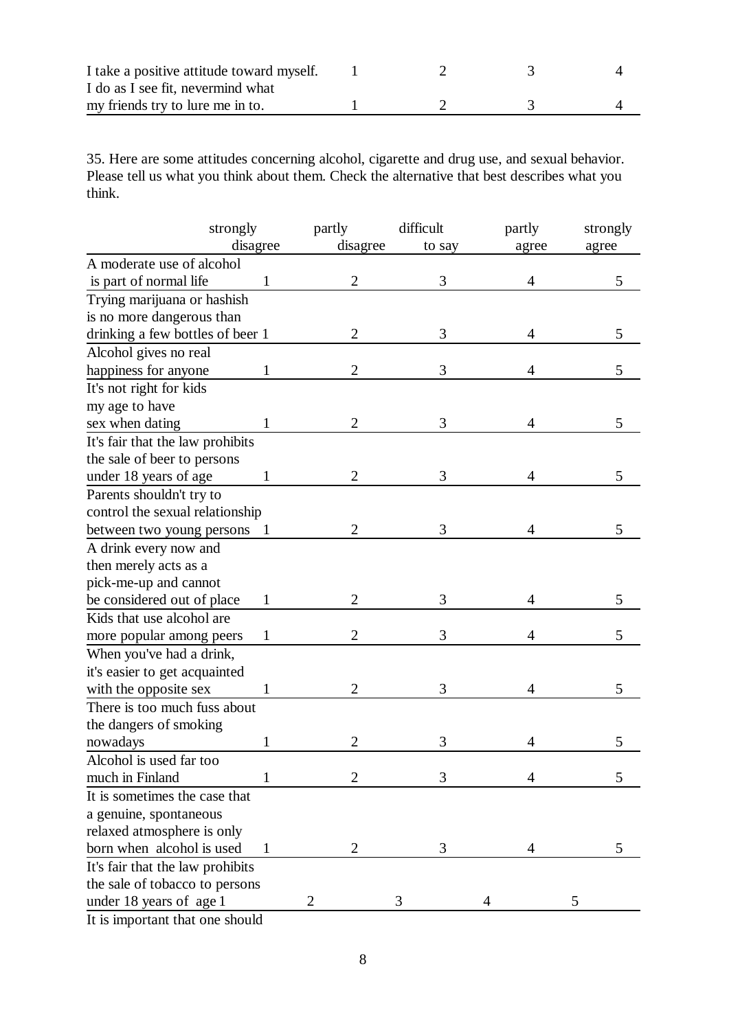| I take a positive attitude toward myself. |  |  |
|-------------------------------------------|--|--|
| I do as I see fit, nevermind what         |  |  |
| my friends try to lure me in to.          |  |  |

35. Here are some attitudes concerning alcohol, cigarette and drug use, and sexual behavior. Please tell us what you think about them. Check the alternative that best describes what you think.

|                                  | strongly     | partly         | difficult | partly | strongly |
|----------------------------------|--------------|----------------|-----------|--------|----------|
|                                  | disagree     | disagree       | to say    | agree  | agree    |
| A moderate use of alcohol        |              |                |           |        |          |
| is part of normal life           | $\mathbf{1}$ | $\overline{2}$ | 3         | 4      | 5        |
| Trying marijuana or hashish      |              |                |           |        |          |
| is no more dangerous than        |              |                |           |        |          |
| drinking a few bottles of beer 1 |              | $\overline{2}$ | 3         | 4      | 5        |
| Alcohol gives no real            |              |                |           |        |          |
| happiness for anyone             | 1            | $\overline{2}$ | 3         | 4      | 5        |
| It's not right for kids          |              |                |           |        |          |
| my age to have                   |              |                |           |        |          |
| sex when dating                  | 1            | $\overline{c}$ | 3         | 4      | 5        |
| It's fair that the law prohibits |              |                |           |        |          |
| the sale of beer to persons      |              |                |           |        |          |
| under 18 years of age            | 1            | 2              | 3         | 4      | 5        |
| Parents shouldn't try to         |              |                |           |        |          |
| control the sexual relationship  |              |                |           |        |          |
| between two young persons 1      |              | 2              | 3         | 4      | 5        |
| A drink every now and            |              |                |           |        |          |
| then merely acts as a            |              |                |           |        |          |
| pick-me-up and cannot            |              |                |           |        |          |
| be considered out of place       | 1            | 2              | 3         | 4      | 5        |
| Kids that use alcohol are        |              |                |           |        |          |
| more popular among peers         | $\mathbf{1}$ | 2              | 3         | 4      | 5        |
| When you've had a drink,         |              |                |           |        |          |
| it's easier to get acquainted    |              |                |           |        |          |
| with the opposite sex            | 1            | 2              | 3         | 4      | 5        |
| There is too much fuss about     |              |                |           |        |          |
| the dangers of smoking           |              |                |           |        |          |
| nowadays                         |              |                | 3         | 4      | 5        |
| Alcohol is used far too          |              |                |           |        |          |
| much in Finland                  |              |                | 3         | 4      | 5        |
| It is sometimes the case that    |              |                |           |        |          |
| a genuine, spontaneous           |              |                |           |        |          |
| relaxed atmosphere is only       |              |                |           |        |          |
| born when alcohol is used        | 1            | 2              | 3         | 4      | 5        |
| It's fair that the law prohibits |              |                |           |        |          |
| the sale of tobacco to persons   |              |                |           |        |          |
| under 18 years of age 1          |              |                | 3         |        |          |
|                                  |              |                |           |        |          |

It is important that one should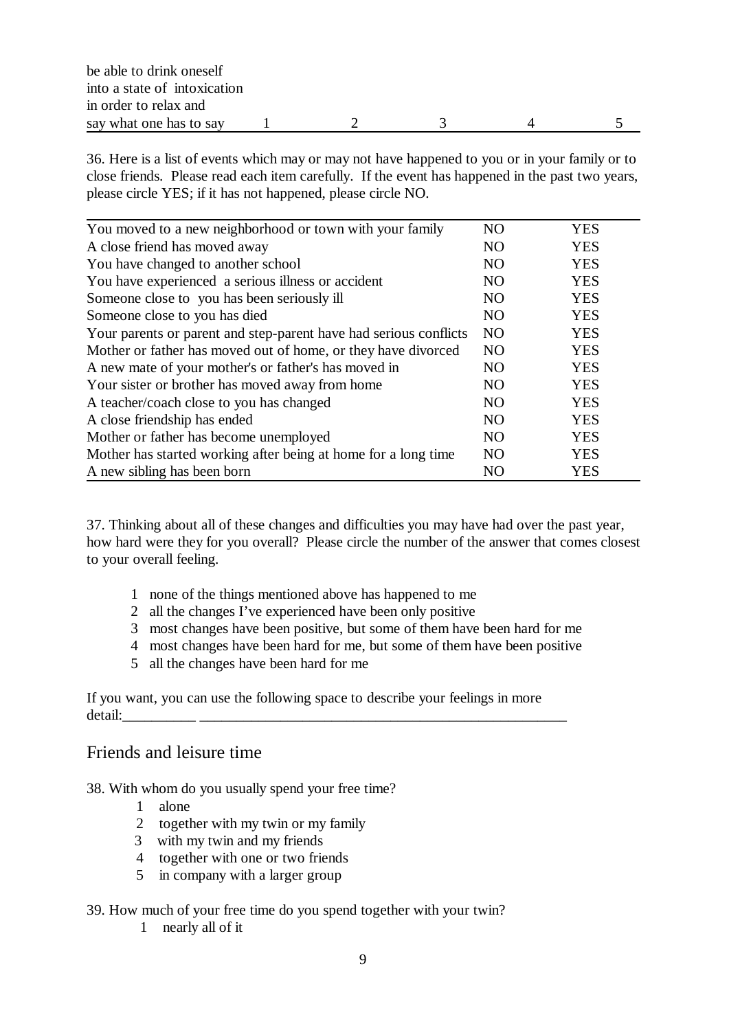| be able to drink oneself     |  |  |  |
|------------------------------|--|--|--|
| into a state of intoxication |  |  |  |
| in order to relax and        |  |  |  |
| say what one has to say      |  |  |  |

36. Here is a list of events which may or may not have happened to you or in your family or to close friends. Please read each item carefully. If the event has happened in the past two years, please circle YES; if it has not happened, please circle NO.

| You moved to a new neighborhood or town with your family          | N <sub>O</sub> | <b>YES</b> |
|-------------------------------------------------------------------|----------------|------------|
| A close friend has moved away                                     | N <sub>O</sub> | <b>YES</b> |
| You have changed to another school                                | N <sub>O</sub> | <b>YES</b> |
| You have experienced a serious illness or accident                | N <sub>O</sub> | <b>YES</b> |
| Someone close to you has been seriously ill                       | N <sub>O</sub> | <b>YES</b> |
| Someone close to you has died                                     | N <sub>O</sub> | <b>YES</b> |
| Your parents or parent and step-parent have had serious conflicts | N <sub>O</sub> | <b>YES</b> |
| Mother or father has moved out of home, or they have divorced     | N <sub>O</sub> | <b>YES</b> |
| A new mate of your mother's or father's has moved in              | <b>NO</b>      | <b>YES</b> |
| Your sister or brother has moved away from home                   | N <sub>O</sub> | <b>YES</b> |
| A teacher/coach close to you has changed                          | <b>NO</b>      | <b>YES</b> |
| A close friendship has ended                                      | N <sub>O</sub> | <b>YES</b> |
| Mother or father has become unemployed                            | <b>NO</b>      | <b>YES</b> |
| Mother has started working after being at home for a long time    | N <sub>O</sub> | <b>YES</b> |
| A new sibling has been born                                       | N <sub>O</sub> | <b>YES</b> |

37. Thinking about all of these changes and difficulties you may have had over the past year, how hard were they for you overall? Please circle the number of the answer that comes closest to your overall feeling.

- 1 none of the things mentioned above has happened to me
- 2 all the changes I've experienced have been only positive
- 3 most changes have been positive, but some of them have been hard for me
- 4 most changes have been hard for me, but some of them have been positive
- 5 all the changes have been hard for me

If you want, you can use the following space to describe your feelings in more detail:\_\_\_\_\_\_\_\_\_\_ \_\_\_\_\_\_\_\_\_\_\_\_\_\_\_\_\_\_\_\_\_\_\_\_\_\_\_\_\_\_\_\_\_\_\_\_\_\_\_\_\_\_\_\_\_\_\_\_\_\_

#### Friends and leisure time

38. With whom do you usually spend your free time?

- 1 alone
- 2 together with my twin or my family
- 3 with my twin and my friends
- 4 together with one or two friends
- 5 in company with a larger group

#### 39. How much of your free time do you spend together with your twin?

1 nearly all of it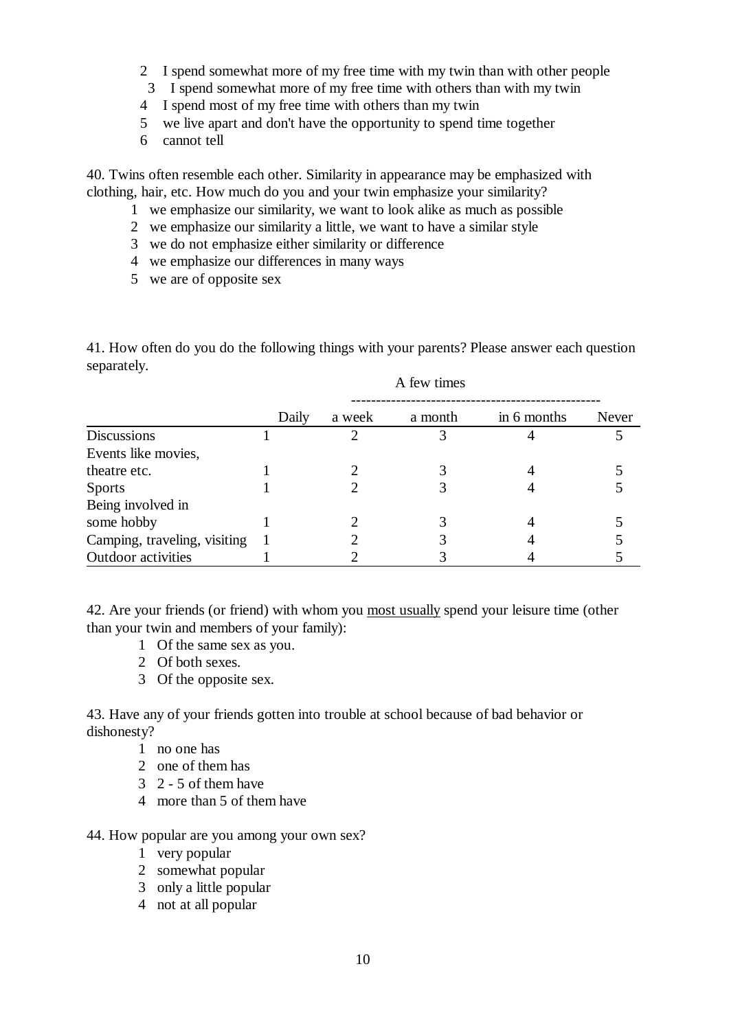- 2 I spend somewhat more of my free time with my twin than with other people
- 3 I spend somewhat more of my free time with others than with my twin
- 4 I spend most of my free time with others than my twin
- 5 we live apart and don't have the opportunity to spend time together
- 6 cannot tell

40. Twins often resemble each other. Similarity in appearance may be emphasized with clothing, hair, etc. How much do you and your twin emphasize your similarity?

- 1 we emphasize our similarity, we want to look alike as much as possible
- 2 we emphasize our similarity a little, we want to have a similar style
- 3 we do not emphasize either similarity or difference
- 4 we emphasize our differences in many ways
- 5 we are of opposite sex

41. How often do you do the following things with your parents? Please answer each question separately.

A few times

|                              | Daily | a week | a month | in 6 months | Never |
|------------------------------|-------|--------|---------|-------------|-------|
| <b>Discussions</b>           |       |        |         |             |       |
| Events like movies,          |       |        |         |             |       |
| theatre etc.                 |       |        |         |             |       |
| <b>Sports</b>                |       |        |         |             |       |
| Being involved in            |       |        |         |             |       |
| some hobby                   |       |        |         |             |       |
| Camping, traveling, visiting |       |        |         |             |       |
| Outdoor activities           |       |        |         |             |       |

42. Are your friends (or friend) with whom you most usually spend your leisure time (other than your twin and members of your family):

- 1 Of the same sex as you.
- 2 Of both sexes.
- 3 Of the opposite sex.

43. Have any of your friends gotten into trouble at school because of bad behavior or dishonesty?

- 1 no one has
- 2 one of them has
- 3 2 5 of them have
- 4 more than 5 of them have

#### 44. How popular are you among your own sex?

- 1 very popular
- 2 somewhat popular
- 3 only a little popular
- 4 not at all popular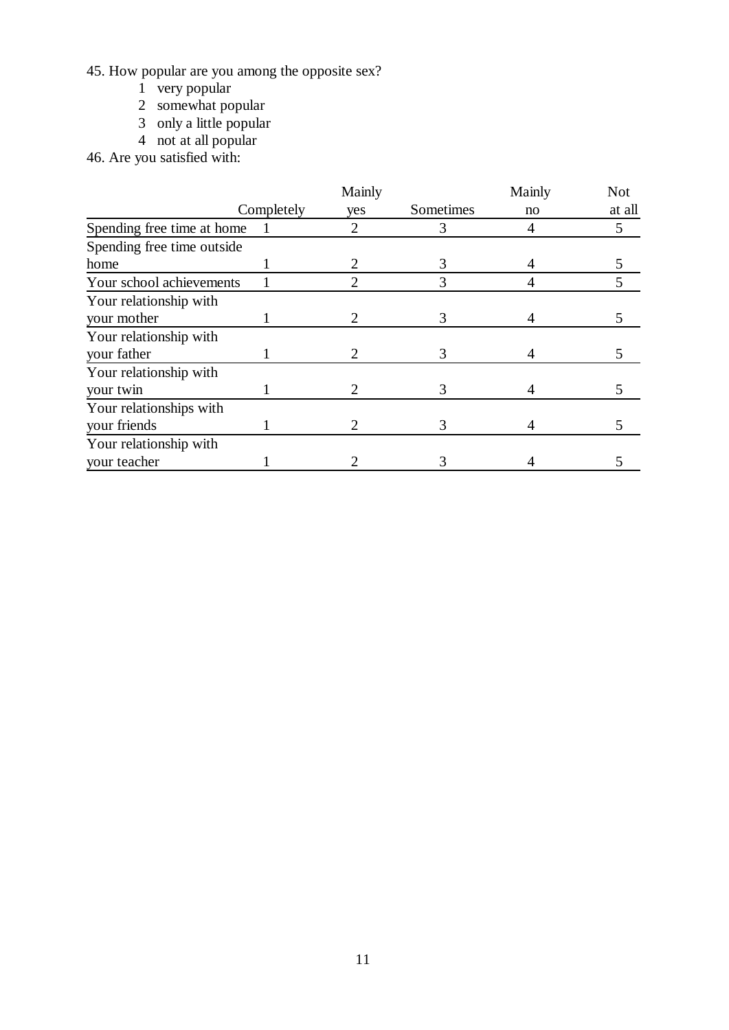45. How popular are you among the opposite sex?

- 1 very popular
- 2 somewhat popular
- 3 only a little popular
- 4 not at all popular
- 46. Are you satisfied with:

|                            | Mainly     |     |           | Mainly | <b>Not</b> |
|----------------------------|------------|-----|-----------|--------|------------|
|                            | Completely | yes | Sometimes | no     | at all     |
| Spending free time at home | 1          | 2   | 3         | 4      | 5          |
| Spending free time outside |            |     |           |        |            |
| home                       |            |     | 3         |        |            |
| Your school achievements   |            | 2   | 3         |        | 5          |
| Your relationship with     |            |     |           |        |            |
| your mother                |            |     | 3         |        |            |
| Your relationship with     |            |     |           |        |            |
| your father                |            | 2   | 3         |        | 5          |
| Your relationship with     |            |     |           |        |            |
| your twin                  |            |     | 3         |        |            |
| Your relationships with    |            |     |           |        |            |
| your friends               |            |     | 3         |        |            |
| Your relationship with     |            |     |           |        |            |
| your teacher               |            |     |           |        |            |